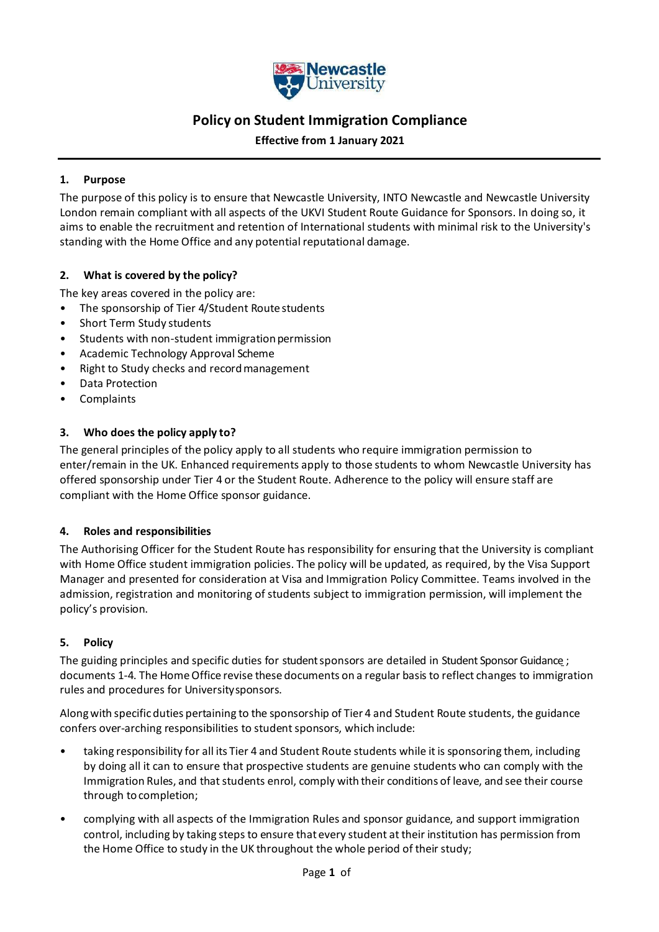

# **Policy on Student Immigration Compliance**

**Effective from 1 January 2021**

#### **1. Purpose**

The purpose of this policy is to ensure that Newcastle University, INTO Newcastle and Newcastle University London remain compliant with all aspects of the UKVI Student Route Guidance for Sponsors. In doing so, it aims to enable the recruitment and retention of International students with minimal risk to the University's standing with the Home Office and any potential reputational damage.

#### **2. What is covered by the policy?**

The key areas covered in the policy are:

- The sponsorship of Tier 4/Student Route students
- Short Term Study students
- Students with non-student immigration permission
- Academic Technology Approval Scheme
- Right to Study checks and recordmanagement
- Data Protection
- Complaints

#### **3. Who does the policy apply to?**

The general principles of the policy apply to all students who require immigration permission to enter/remain in the UK. Enhanced requirements apply to those students to whom Newcastle University has offered sponsorship under Tier 4 or the Student Route. Adherence to the policy will ensure staff are compliant with the Home Office sponsor guidance.

#### **4. Roles and responsibilities**

The Authorising Officer for the Student Route has responsibility for ensuring that the University is compliant with Home Office student immigration policies. The policy will be updated, as required, by the Visa Support Manager and presented for consideration at Visa and Immigration Policy Committee. Teams involved in the admission, registration and monitoring of students subject to immigration permission, will implement the policy's provision.

# **5. Policy**

The guiding principles and specific duties for student sponsors are detailed in Student Sponsor Guidance ; documents 1-4. The HomeOffice revise these documents on a regular basis to reflect changes to immigration rules and procedures for Universitysponsors.

Alongwith specificduties pertaining to the sponsorship of Tier 4 and Student Route students, the guidance confers over-arching responsibilities to student sponsors, which include:

- taking responsibility for all its Tier 4 and Student Route students while it is sponsoring them, including by doing all it can to ensure that prospective students are genuine students who can comply with the Immigration Rules, and that students enrol, comply with their conditions of leave, and see their course through tocompletion;
- complying with all aspects of the Immigration Rules and sponsor guidance, and support immigration control, including by taking steps to ensure thatevery student attheir institution has permission from the Home Office to study in the UK throughout the whole period of their study;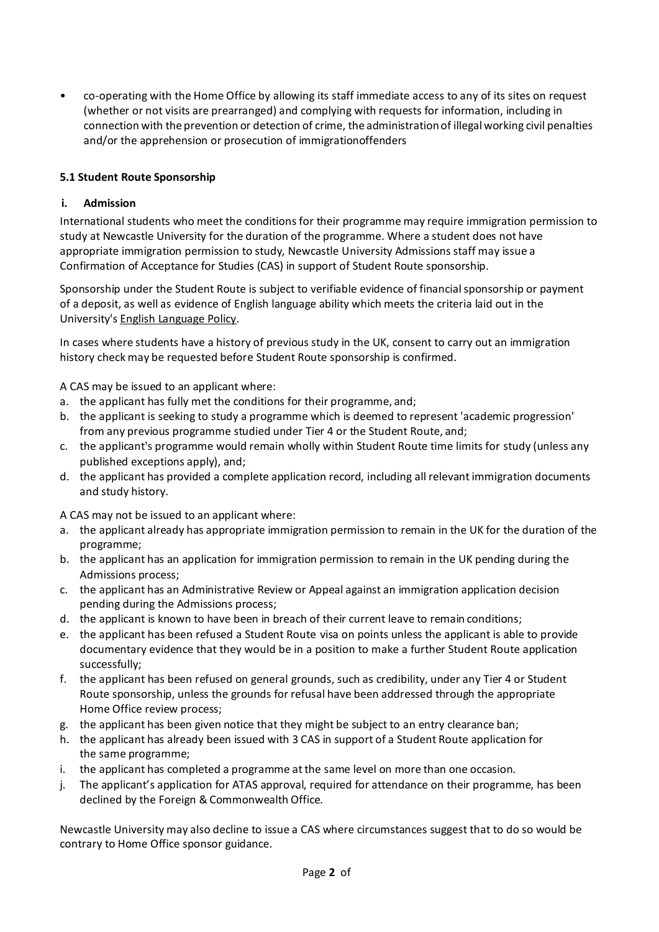• co-operating with the Home Office by allowing its staff immediate access to any of its sites on request (whether or not visits are prearranged) and complying with requests for information, including in connection with the prevention or detection of crime, the administrationof illegalworking civil penalties and/or the apprehension or prosecution of immigrationoffenders

# **5.1 Student Route Sponsorship**

# **i. Admission**

International students who meet the conditions for their programme may require immigration permission to study at Newcastle University for the duration of the programme. Where a student does not have appropriate immigration permission to study, Newcastle University Admissions staff may issue a Confirmation of Acceptance for Studies (CAS) in support of Student Route sponsorship.

Sponsorship under the Student Route is subject to verifiable evidence of financial sponsorship or payment of a deposit, as well as evidence of English language ability which meets the criteria laid out in the University's English Language Policy.

In cases where students have a history of previous study in the UK, consent to carry out an immigration history check may be requested before Student Route sponsorship is confirmed.

A CAS may be issued to an applicant where:

- a. the applicant has fully met the conditions for their programme, and;
- b. the applicant is seeking to study a programme which is deemed to represent 'academic progression' from any previous programme studied under Tier 4 or the Student Route, and;
- c. the applicant's programme would remain wholly within Student Route time limits for study (unless any published exceptions apply), and;
- d. the applicant has provided a complete application record, including all relevant immigration documents and study history.

A CAS may not be issued to an applicant where:

- a. the applicant already has appropriate immigration permission to remain in the UK for the duration of the programme;
- b. the applicant has an application for immigration permission to remain in the UK pending during the Admissions process;
- c. the applicant has an Administrative Review or Appeal against an immigration application decision pending during the Admissions process;
- d. the applicant is known to have been in breach of their current leave to remain conditions;
- e. the applicant has been refused a Student Route visa on points unless the applicant is able to provide documentary evidence that they would be in a position to make a further Student Route application successfully;
- f. the applicant has been refused on general grounds, such as credibility, under any Tier 4 or Student Route sponsorship, unless the grounds for refusal have been addressed through the appropriate Home Office review process;
- g. the applicant has been given notice that they might be subject to an entry clearance ban;
- h. the applicant has already been issued with 3 CAS in support of a Student Route application for the same programme;
- i. the applicant has completed a programme atthe same level on more than one occasion.
- j. The applicant's application for ATAS approval, required for attendance on their programme, has been declined by the Foreign & Commonwealth Office.

Newcastle University may also decline to issue a CAS where circumstances suggest that to do so would be contrary to Home Office sponsor guidance.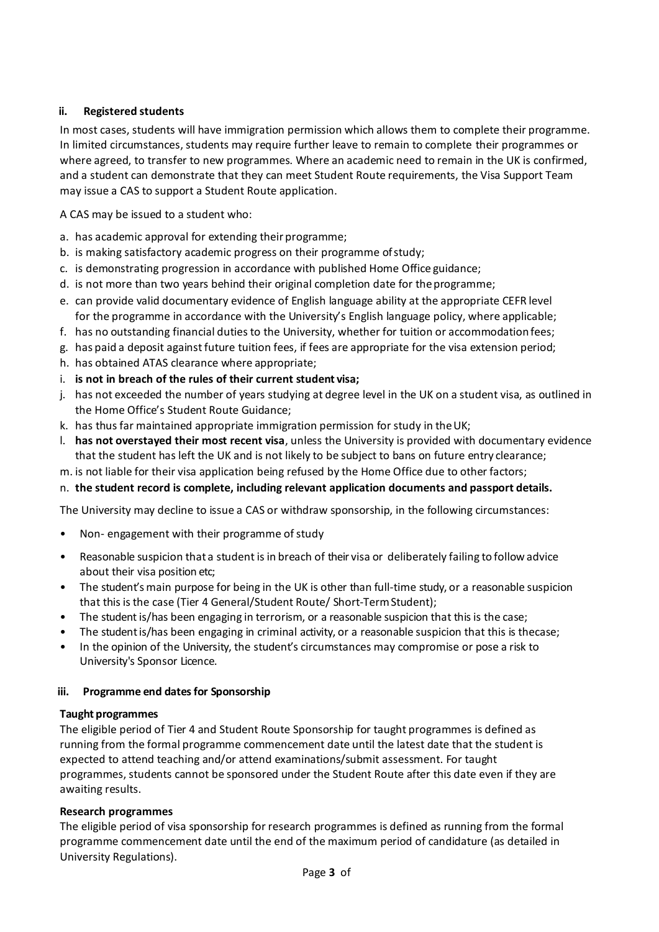#### **ii. Registered students**

In most cases, students will have immigration permission which allows them to complete their programme. In limited circumstances, students may require further leave to remain to complete their programmes or where agreed, to transfer to new programmes. Where an academic need to remain in the UK is confirmed, and a student can demonstrate that they can meet Student Route requirements, the Visa Support Team may issue a CAS to support a Student Route application.

A CAS may be issued to a student who:

- a. has academic approval for extending their programme;
- b. is making satisfactory academic progress on their programme ofstudy;
- c. is demonstrating progression in accordance with published Home Office guidance;
- d. is not more than two years behind their original completion date for theprogramme;
- e. can provide valid documentary evidence of English language ability at the appropriate CEFR level for the programme in accordance with the University's English language policy, where applicable;
- f. has no outstanding financial duties to the University, whether for tuition or accommodationfees;
- g. has paid a deposit against future tuition fees, if fees are appropriate for the visa extension period;
- h. has obtained ATAS clearance where appropriate;
- i. **is not in breach of the rules of their current student visa;**
- j. has not exceeded the number of years studying at degree level in the UK on a student visa, as outlined in the Home Office's Student Route Guidance;
- k. has thus far maintained appropriate immigration permission for study in theUK;
- l. **has not overstayed their most recent visa**, unless the University is provided with documentary evidence that the student has left the UK and is not likely to be subject to bans on future entry clearance;
- m. is not liable for their visa application being refused by the Home Office due to other factors;
- n. **the student record is complete, including relevant application documents and passport details.**

The University may decline to issue a CAS or withdraw sponsorship, in the following circumstances:

- Non- engagement with their programme of study
- Reasonable suspicion that a student is in breach of their visa or deliberately failing to follow advice about their visa position etc;
- The student's main purpose for being in the UK is other than full-time study, or a reasonable suspicion that this is the case (Tier 4 General/Student Route/ Short-TermStudent);
- The student is/has been engaging in terrorism, or a reasonable suspicion that this is the case;
- The student is/has been engaging in criminal activity, or a reasonable suspicion that this is thecase;
- In the opinion of the University, the student's circumstances may compromise or pose a risk to University's Sponsor Licence.

#### **iii. Programme end dates for Sponsorship**

#### **Taught programmes**

The eligible period of Tier 4 and Student Route Sponsorship for taught programmes is defined as running from the formal programme commencement date until the latest date that the student is expected to attend teaching and/or attend examinations/submit assessment. For taught programmes, students cannot be sponsored under the Student Route after this date even if they are awaiting results.

# **Research programmes**

The eligible period of visa sponsorship for research programmes is defined as running from the formal programme commencement date until the end of the maximum period of candidature (as detailed in University Regulations).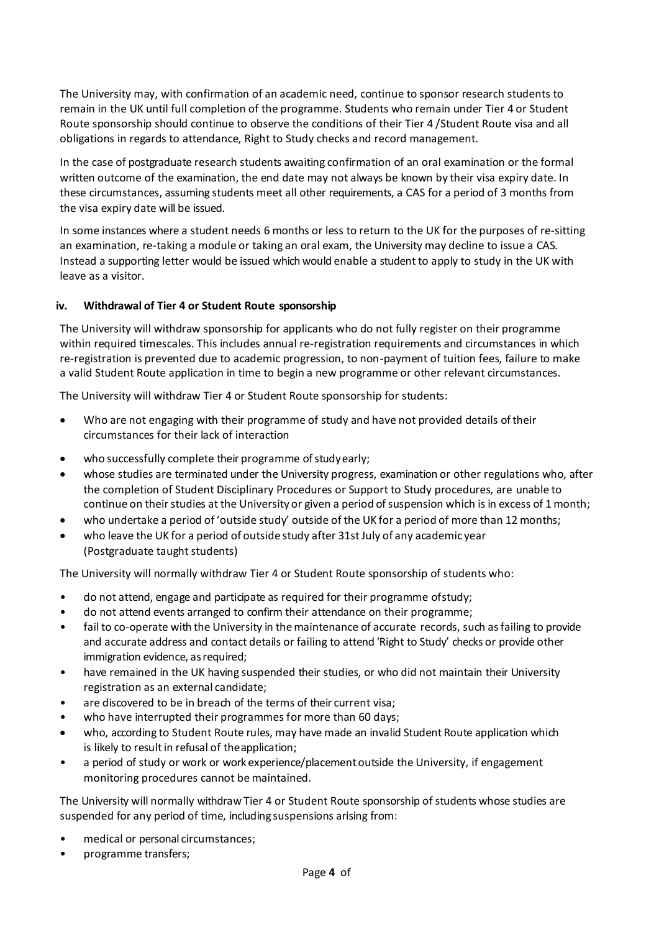The University may, with confirmation of an academic need, continue to sponsor research students to remain in the UK until full completion of the programme. Students who remain under Tier 4 or Student Route sponsorship should continue to observe the conditions of their Tier 4 /Student Route visa and all obligations in regards to attendance, Right to Study checks and record management.

In the case of postgraduate research students awaiting confirmation of an oral examination or the formal written outcome of the examination, the end date may not always be known by their visa expiry date. In these circumstances, assuming students meet all other requirements, a CAS for a period of 3 months from the visa expiry date will be issued.

In some instances where a student needs 6 months or less to return to the UK for the purposes of re-sitting an examination, re-taking a module or taking an oral exam, the University may decline to issue a CAS. Instead a supporting letter would be issued which would enable a student to apply to study in the UK with leave as a visitor.

# **iv. Withdrawal of Tier 4 or Student Route sponsorship**

The University will withdraw sponsorship for applicants who do not fully register on their programme within required timescales. This includes annual re-registration requirements and circumstances in which re-registration is prevented due to academic progression, to non-payment of tuition fees, failure to make a valid Student Route application in time to begin a new programme or other relevant circumstances.

The University will withdraw Tier 4 or Student Route sponsorship for students:

- Who are not engaging with their programme of study and have not provided details of their circumstances for their lack of interaction
- who successfully complete their programme of studyearly;
- whose studies are terminated under the University progress, examination or other regulations who, after the completion of Student Disciplinary Procedures or Support to Study procedures, are unable to continue on their studies at the University or given a period of suspension which is in excess of 1 month;
- who undertake a period of 'outside study' outside of the UK for a period of more than 12 months;
- who leave the UK for a period of outside study after 31st July of any academic year (Postgraduate taught students)

The University will normally withdraw Tier 4 or Student Route sponsorship of students who:

- do not attend, engage and participate as required for their programme ofstudy;
- do not attend events arranged to confirm their attendance on their programme;
- fail to co-operate with the University in the maintenance of accurate records, such as failing to provide and accurate address and contact details or failing to attend 'Right to Study' checks or provide other immigration evidence, as required;
- have remained in the UK having suspended their studies, or who did not maintain their University registration as an external candidate;
- are discovered to be in breach of the terms of their current visa;
- who have interrupted their programmes for more than 60 days;
- who, according to Student Route rules, may have made an invalid Student Route application which is likely to result in refusal of theapplication;
- a period of study or work or work experience/placement outside the University, if engagement monitoring procedures cannot be maintained.

The University will normally withdraw Tier 4 or Student Route sponsorship of students whose studies are suspended for any period of time, including suspensions arising from:

- medical or personal circumstances;
- programme transfers;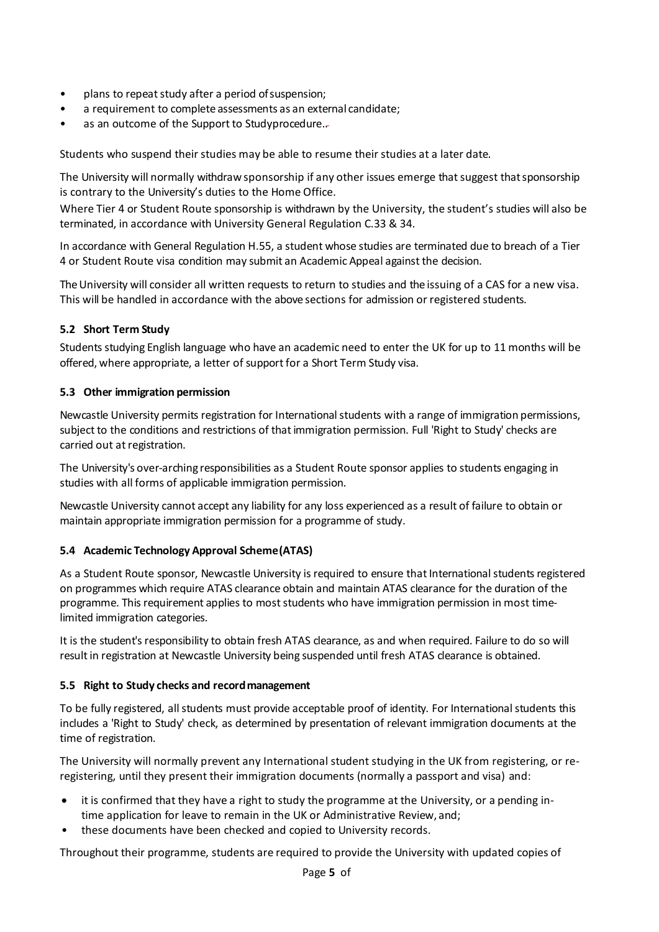- plans to repeat study after a period of suspension;
- a requirement to complete assessments as an external candidate;
- as an outcome of the Support to Studyprocedure.

Students who suspend their studies may be able to resume their studies at a later date.

The University will normally withdraw sponsorship if any other issues emerge that suggest that sponsorship is contrary to the University's duties to the Home Office.

Where Tier 4 or Student Route sponsorship is withdrawn by the University, the student's studies will also be terminated, in accordance with University General Regulation C.33 & 34.

In accordance with General Regulation H.55, a student whose studies are terminated due to breach of a Tier 4 or Student Route visa condition may submit an Academic Appeal against the decision.

The University will consider all written requests to return to studies and the issuing of a CAS for a new visa. This will be handled in accordance with the above sections for admission or registered students.

#### **5.2 Short Term Study**

Students studying English language who have an academic need to enter the UK for up to 11 months will be offered, where appropriate, a letter of support for a Short Term Study visa.

#### **5.3 Other immigration permission**

Newcastle University permits registration for International students with a range of immigration permissions, subject to the conditions and restrictions of that immigration permission. Full 'Right to Study' checks are carried out at registration.

The University's over-arching responsibilities as a Student Route sponsor applies to students engaging in studies with all forms of applicable immigration permission.

Newcastle University cannot accept any liability for any loss experienced as a result of failure to obtain or maintain appropriate immigration permission for a programme of study.

#### **5.4 Academic Technology Approval Scheme(ATAS)**

As a Student Route sponsor, Newcastle University is required to ensure that International students registered on programmes which require ATAS clearance obtain and maintain ATAS clearance for the duration of the programme. This requirement applies to most students who have immigration permission in most timelimited immigration categories.

It is the student's responsibility to obtain fresh ATAS clearance, as and when required. Failure to do so will result in registration at Newcastle University being suspended until fresh ATAS clearance is obtained.

# **5.5 Right to Study checks and recordmanagement**

To be fully registered, all students must provide acceptable proof of identity. For International students this includes a 'Right to Study' check, as determined by presentation of relevant immigration documents at the time of registration.

The University will normally prevent any International student studying in the UK from registering, or reregistering, until they present their immigration documents (normally a passport and visa) and:

- it is confirmed that they have a right to study the programme at the University, or a pending intime application for leave to remain in the UK or Administrative Review, and;
- these documents have been checked and copied to University records.

Throughout their programme, students are required to provide the University with updated copies of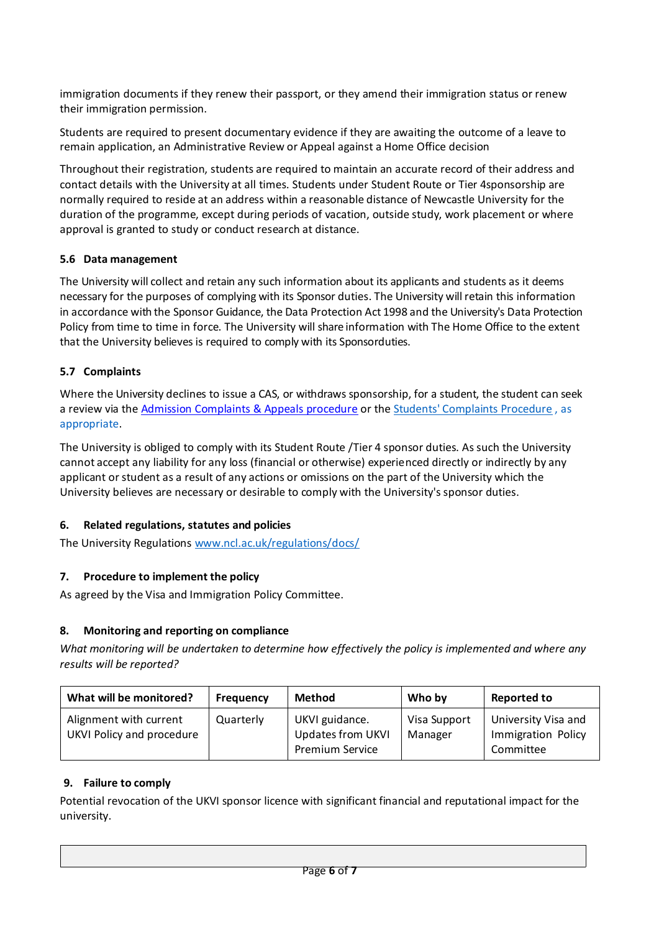immigration documents if they renew their passport, or they amend their immigration status or renew their immigration permission.

Students are required to present documentary evidence if they are awaiting the outcome of a leave to remain application, an Administrative Review or Appeal against a Home Office decision

Throughout their registration, students are required to maintain an accurate record of their address and contact details with the University at all times. Students under Student Route or Tier 4sponsorship are normally required to reside at an address within a reasonable distance of Newcastle University for the duration of the programme, except during periods of vacation, outside study, work placement or where approval is granted to study or conduct research at distance.

# **5.6 Data management**

The University will collect and retain any such information about its applicants and students as it deems necessary for the purposes of complying with its Sponsor duties. The University will retain this information in accordance with the Sponsor Guidance, the Data Protection Act 1998 and the University's Data Protection Policy from time to time in force. The University will share information with The Home Office to the extent that the University believes is required to comply with its Sponsorduties.

#### **5.7 Complaints**

Where the University declines to issue a CAS, or withdraws sponsorship, for a student, the student can seek a review via the [Admission Complaints & Appeals procedure](https://www.ncl.ac.uk/mediav8/study-with-us/general-documents/applications-amp-offers/admissions-complaints-and-appeals-procedure-2019.pdf) or th[e Students' Complaints Procedure](https://www.ncl.ac.uk/students/progress/Regulations/Procedures/complaints.htm) , as appropriate.

The University is obliged to comply with its Student Route /Tier 4 sponsor duties. As such the University cannot accept any liability for any loss (financial or otherwise) experienced directly or indirectly by any applicant or student as a result of any actions or omissions on the part of the University which the University believes are necessary or desirable to comply with the University's sponsor duties.

# **6. Related regulations, statutes and policies**

The University Regulation[s www.ncl.ac.uk/regulations/docs/](http://www.ncl.ac.uk/regulations/docs/)

# **7. Procedure to implement the policy**

As agreed by the Visa and Immigration Policy Committee.

# **8. Monitoring and reporting on compliance**

*What monitoring will be undertaken to determine how effectively the policy is implemented and where any results will be reported?*

| What will be monitored?                             | <b>Frequency</b> | <b>Method</b>                                                        | Who by                  | <b>Reported to</b>                                     |
|-----------------------------------------------------|------------------|----------------------------------------------------------------------|-------------------------|--------------------------------------------------------|
| Alignment with current<br>UKVI Policy and procedure | Quarterly        | UKVI guidance.<br><b>Updates from UKVI</b><br><b>Premium Service</b> | Visa Support<br>Manager | University Visa and<br>Immigration Policy<br>Committee |

# **9. Failure to comply**

Potential revocation of the UKVI sponsor licence with significant financial and reputational impact for the university.